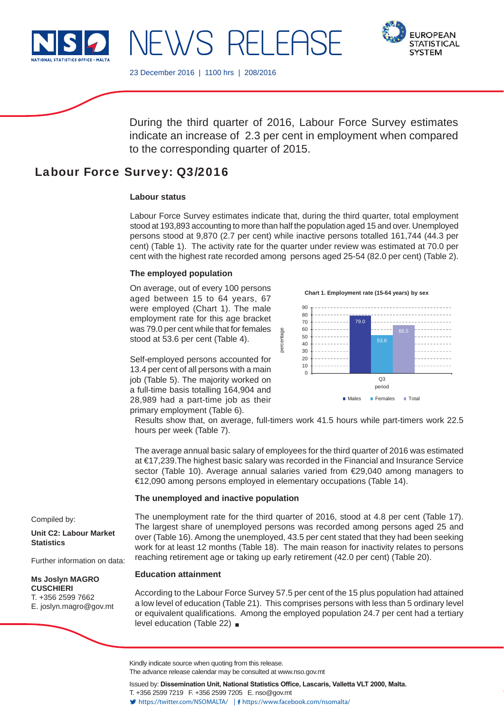

**FUROPEAN STATISTICAL SYSTEM** 

23 December 2016 | 1100 hrs | 208/2016

NEWS RELEASE

During the third quarter of 2016, Labour Force Survey estimates indicate an increase of 2.3 per cent in employment when compared to the corresponding quarter of 2015.

# Labour Force Survey: Q3/2016

## **Labour status**

Labour Force Survey estimates indicate that, during the third quarter, total employment stood at 193,893 accounting to more than half the population aged 15 and over. Unemployed persons stood at 9,870 (2.7 per cent) while inactive persons totalled 161,744 (44.3 per cent) (Table 1). The activity rate for the quarter under review was estimated at 70.0 per cent with the highest rate recorded among persons aged 25-54 (82.0 per cent) (Table 2).

ercentage p

## **The employed population**

On average, out of every 100 persons aged between 15 to 64 years, 67 were employed (Chart 1). The male employment rate for this age bracket was 79.0 per cent while that for females stood at 53.6 per cent (Table 4).

Self-employed persons accounted for 13.4 per cent of all persons with a main job (Table 5). The majority worked on a full-time basis totalling 164,904 and 28,989 had a part-time job as their primary employment (Table 6).

**Chart 1. Employment rate (15-64 years) by sex**



Results show that, on average, full-timers work 41.5 hours while part-timers work 22.5 hours per week (Table 7).

The average annual basic salary of employees for the third quarter of 2016 was estimated at €17,239.The highest basic salary was recorded in the Financial and Insurance Service sector (Table 10). Average annual salaries varied from €29,040 among managers to €12,090 among persons employed in elementary occupations (Table 14).

### **The unemployed and inactive population**

The unemployment rate for the third quarter of 2016, stood at 4.8 per cent (Table 17). The largest share of unemployed persons was recorded among persons aged 25 and over (Table 16). Among the unemployed, 43.5 per cent stated that they had been seeking work for at least 12 months (Table 18). The main reason for inactivity relates to persons reaching retirement age or taking up early retirement (42.0 per cent) (Table 20).

### **Education attainment**

According to the Labour Force Survey 57.5 per cent of the 15 plus population had attained a low level of education (Table 21). This comprises persons with less than 5 ordinary level or equivalent qualifications. Among the employed population 24.7 per cent had a tertiary level education (Table 22)

Compiled by:

**Unit C2: Labour Market Statistics**

Further information on data:

#### **Ms Joslyn MAGRO CUSCHIERI** T. +356 2599 7662

E. joslyn.magro@gov.mt

The advance release calendar may be consulted at www.nso.gov.mt

Issued by: Dissemination Unit, National Statistics Office, Lascaris, Valletta VLT 2000, Malta. T. +356 2599 7219 F. +356 2599 7205 E. nso@gov.mt https://twitter.com/NSOMALTA/ https://www.facebook.com/nsomalta/

Kindly indicate source when quoting from this release.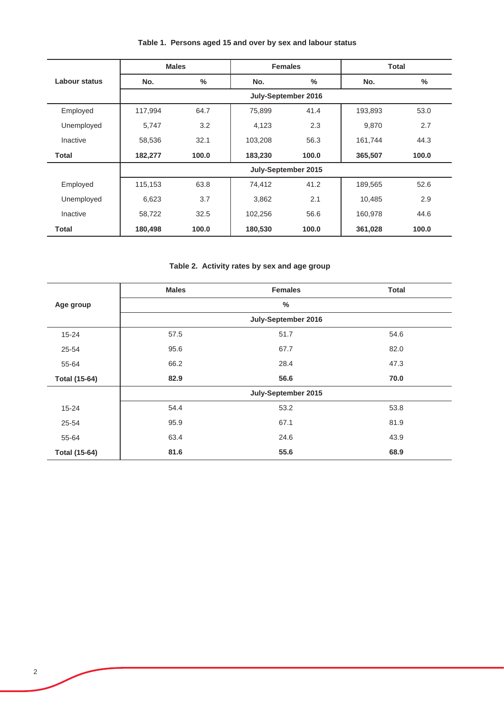|  |  |  | Table 1. Persons aged 15 and over by sex and labour status |
|--|--|--|------------------------------------------------------------|
|--|--|--|------------------------------------------------------------|

|               |         | <b>Males</b>  | <b>Females</b>      |                     | <b>Total</b> |               |
|---------------|---------|---------------|---------------------|---------------------|--------------|---------------|
| Labour status | No.     | $\frac{0}{0}$ | No.                 | $\frac{0}{0}$       | No.          | $\frac{0}{0}$ |
|               |         |               |                     | July-September 2016 |              |               |
| Employed      | 117,994 | 64.7          | 75,899              | 41.4                | 193,893      | 53.0          |
| Unemployed    | 5,747   | 3.2           | 4,123               | 2.3                 | 9,870        | 2.7           |
| Inactive      | 58,536  | 32.1          | 103,208             | 56.3                | 161,744      | 44.3          |
| <b>Total</b>  | 182,277 | 100.0         | 183,230             | 100.0               | 365,507      | 100.0         |
|               |         |               | July-September 2015 |                     |              |               |
| Employed      | 115,153 | 63.8          | 74,412              | 41.2                | 189,565      | 52.6          |
| Unemployed    | 6,623   | 3.7           | 3,862               | 2.1                 | 10,485       | 2.9           |
| Inactive      | 58,722  | 32.5          | 102,256             | 56.6                | 160,978      | 44.6          |
| <b>Total</b>  | 180,498 | 100.0         | 180,530             | 100.0               | 361,028      | 100.0         |

**Table 2. Activity rates by sex and age group**

|                      | <b>Males</b> | <b>Females</b>      | <b>Total</b> |
|----------------------|--------------|---------------------|--------------|
| Age group            |              | $\%$                |              |
|                      |              | July-September 2016 |              |
| $15 - 24$            | 57.5         | 51.7                | 54.6         |
| 25-54                | 95.6         | 67.7                | 82.0         |
| 55-64                | 66.2         | 28.4                | 47.3         |
| <b>Total (15-64)</b> | 82.9         | 56.6                | 70.0         |
|                      |              | July-September 2015 |              |
| $15 - 24$            | 54.4         | 53.2                | 53.8         |
| 25-54                | 95.9         | 67.1                | 81.9         |
| 55-64                | 63.4         | 24.6                | 43.9         |
| <b>Total (15-64)</b> | 81.6         | 55.6                | 68.9         |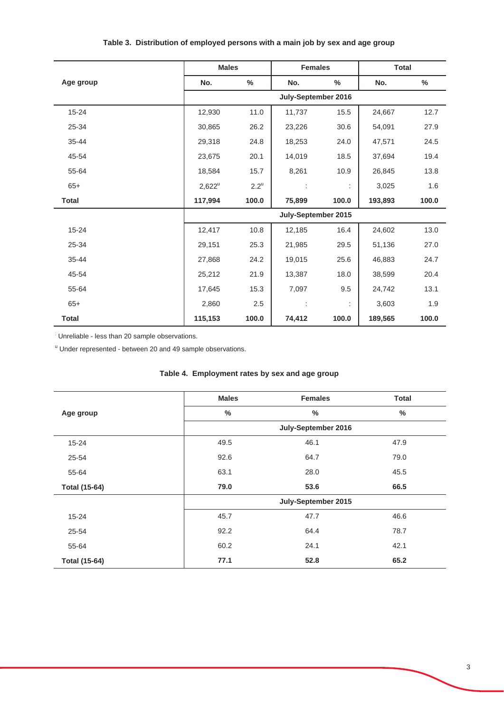|              | <b>Males</b> |                    | <b>Females</b>       |               | <b>Total</b> |       |  |
|--------------|--------------|--------------------|----------------------|---------------|--------------|-------|--|
| Age group    | No.          | $\%$               | No.                  | $\frac{0}{0}$ | No.          | %     |  |
|              |              |                    | July-September 2016  |               |              |       |  |
| 15-24        | 12,930       | 11.0               | 11,737               | 15.5          | 24,667       | 12.7  |  |
| 25-34        | 30,865       | 26.2               | 23,226               | 30.6          | 54,091       | 27.9  |  |
| 35-44        | 29,318       | 24.8               | 18,253               | 24.0          | 47,571       | 24.5  |  |
| 45-54        | 23,675       | 20.1               | 14,019               | 18.5          | 37,694       | 19.4  |  |
| 55-64        | 18,584       | 15.7               | 8,261                | 10.9          | 26,845       | 13.8  |  |
| $65+$        | $2,622^u$    | $2.2^{\mathrm{u}}$ | $\ddot{\phantom{a}}$ | ÷             | 3,025        | 1.6   |  |
| <b>Total</b> | 117,994      | 100.0              | 75,899               | 100.0         | 193,893      | 100.0 |  |
|              |              |                    | July-September 2015  |               |              |       |  |
| 15-24        | 12,417       | 10.8               | 12,185               | 16.4          | 24,602       | 13.0  |  |
| 25-34        | 29,151       | 25.3               | 21,985               | 29.5          | 51,136       | 27.0  |  |
| 35-44        | 27,868       | 24.2               | 19,015               | 25.6          | 46,883       | 24.7  |  |
| 45-54        | 25,212       | 21.9               | 13,387               | 18.0          | 38,599       | 20.4  |  |
| 55-64        | 17,645       | 15.3               | 7,097                | 9.5           | 24,742       | 13.1  |  |
| $65+$        | 2,860        | 2.5                |                      | ÷             | 3,603        | 1.9   |  |
| <b>Total</b> | 115,153      | 100.0              | 74,412               | 100.0         | 189,565      | 100.0 |  |

# **Table 3. Distribution of employed persons with a main job by sex and age group**

Unreliable - less than 20 sample observations.

<sup>u</sup> Under represented - between 20 and 49 sample observations.

|                      | <b>Males</b> | <b>Females</b>      | <b>Total</b>  |
|----------------------|--------------|---------------------|---------------|
| Age group            | $\%$         | $\%$                | $\frac{0}{0}$ |
|                      |              | July-September 2016 |               |
| 15-24                | 49.5         | 46.1                | 47.9          |
| 25-54                | 92.6         | 64.7                | 79.0          |
| 55-64                | 63.1         | 28.0                | 45.5          |
| <b>Total (15-64)</b> | 79.0         | 53.6                | 66.5          |
|                      |              | July-September 2015 |               |
| $15 - 24$            | 45.7         | 47.7                | 46.6          |
| 25-54                | 92.2         | 64.4                | 78.7          |
| 55-64                | 60.2         | 24.1                | 42.1          |
| <b>Total (15-64)</b> | 77.1         | 52.8                | 65.2          |

# **Table 4. Employment rates by sex and age group**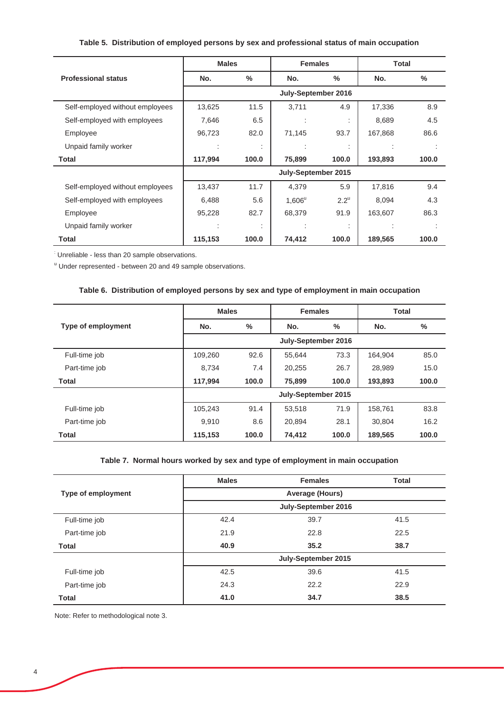# **Table 5. Distribution of employed persons by sex and professional status of main occupation**

|                                 | <b>Males</b> |         | <b>Females</b>      |                    | <b>Total</b> |               |
|---------------------------------|--------------|---------|---------------------|--------------------|--------------|---------------|
| <b>Professional status</b>      | No.          | $\%$    | No.                 | ℅                  | No.          | $\frac{0}{0}$ |
|                                 |              |         | July-September 2016 |                    |              |               |
| Self-employed without employees | 13,625       | 11.5    | 3,711               | 4.9                | 17,336       | 8.9           |
| Self-employed with employees    | 7,646        | 6.5     |                     |                    | 8,689        | 4.5           |
| Employee                        | 96,723       | 82.0    | 71,145              | 93.7               | 167,868      | 86.6          |
| Unpaid family worker            | ٠<br>×.      |         |                     |                    |              |               |
| Total                           | 117,994      | 100.0   | 75,899              | 100.0              | 193,893      | 100.0         |
|                                 |              |         | July-September 2015 |                    |              |               |
| Self-employed without employees | 13,437       | 11.7    | 4,379               | 5.9                | 17,816       | 9.4           |
| Self-employed with employees    | 6,488        | 5.6     | $1,606^u$           | $2.2^{\mathrm{u}}$ | 8,094        | 4.3           |
| Employee                        | 95,228       | 82.7    | 68,379              | 91.9               | 163,607      | 86.3          |
| Unpaid family worker            |              | $\cdot$ |                     |                    |              |               |
| <b>Total</b>                    | 115,153      | 100.0   | 74,412              | 100.0              | 189,565      | 100.0         |

: Unreliable - less than 20 sample observations.

<sup>u</sup> Under represented - between 20 and 49 sample observations.

## **Table 6. Distribution of employed persons by sex and type of employment in main occupation**

|                           | <b>Males</b>        |       | <b>Females</b>      |       | Total   |               |  |  |
|---------------------------|---------------------|-------|---------------------|-------|---------|---------------|--|--|
| <b>Type of employment</b> | No.                 | $\%$  | No.                 | %     | No.     | $\frac{0}{0}$ |  |  |
|                           | July-September 2016 |       |                     |       |         |               |  |  |
| Full-time job             | 109,260             | 92.6  | 55.644              | 73.3  | 164,904 | 85.0          |  |  |
| Part-time job             | 8,734               | 7.4   | 20,255              | 26.7  | 28,989  | 15.0          |  |  |
| <b>Total</b>              | 117,994             | 100.0 | 75,899              | 100.0 | 193,893 | 100.0         |  |  |
|                           |                     |       | July-September 2015 |       |         |               |  |  |
| Full-time job             | 105.243             | 91.4  | 53.518              | 71.9  | 158.761 | 83.8          |  |  |
| Part-time job             | 9,910               | 8.6   | 20.894              | 28.1  | 30.804  | 16.2          |  |  |
| <b>Total</b>              | 115,153             | 100.0 | 74,412              | 100.0 | 189,565 | 100.0         |  |  |

#### **Table 7. Normal hours worked by sex and type of employment in main occupation**

|                           | <b>Males</b>    | <b>Females</b>      | <b>Total</b> |  |  |  |
|---------------------------|-----------------|---------------------|--------------|--|--|--|
| <b>Type of employment</b> | Average (Hours) |                     |              |  |  |  |
|                           |                 | July-September 2016 |              |  |  |  |
| Full-time job             | 42.4            | 39.7                | 41.5         |  |  |  |
| Part-time job             | 21.9            | 22.8                | 22.5         |  |  |  |
| <b>Total</b>              | 40.9            | 35.2                | 38.7         |  |  |  |
|                           |                 | July-September 2015 |              |  |  |  |
| Full-time job             | 42.5            | 39.6                | 41.5         |  |  |  |
| Part-time job             | 24.3            | 22.2                | 22.9         |  |  |  |
| <b>Total</b>              | 41.0            | 34.7                | 38.5         |  |  |  |

Note: Refer to methodological note 3.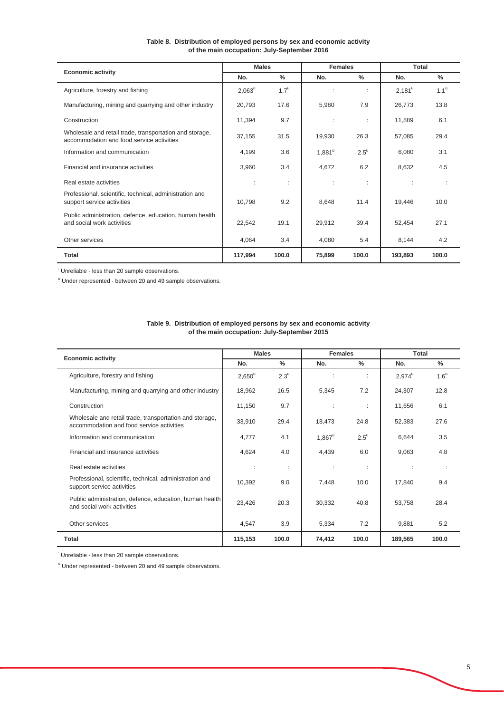| <b>Economic activity</b>                                                                             | <b>Males</b>    |                    | <b>Females</b>  |               | Total           |                  |
|------------------------------------------------------------------------------------------------------|-----------------|--------------------|-----------------|---------------|-----------------|------------------|
|                                                                                                      | No.             | $\%$               | No.             | $\%$          | No.             | %                |
| Agriculture, forestry and fishing                                                                    | $2,063^{\circ}$ | $1.7^{\mathrm{u}}$ | ÷               | ÷             | $2,181^{\circ}$ | 1.1 <sup>u</sup> |
| Manufacturing, mining and quarrying and other industry                                               | 20,793          | 17.6               | 5,980           | 7.9           | 26,773          | 13.8             |
| Construction                                                                                         | 11,394          | 9.7                | ÷               | ÷             | 11,889          | 6.1              |
| Wholesale and retail trade, transportation and storage,<br>accommodation and food service activities | 37,155          | 31.5               | 19,930          | 26.3          | 57,085          | 29.4             |
| Information and communication                                                                        | 4,199           | 3.6                | $1,881^{\circ}$ | $2.5^{\circ}$ | 6,080           | 3.1              |
| Financial and insurance activities                                                                   | 3,960           | 3.4                | 4,672           | 6.2           | 8,632           | 4.5              |
| Real estate activities                                                                               | ÷               | ÷                  | ÷               | ÷             |                 | ÷                |
| Professional, scientific, technical, administration and<br>support service activities                | 10,798          | 9.2                | 8,648           | 11.4          | 19,446          | 10.0             |
| Public administration, defence, education, human health<br>and social work activities                | 22,542          | 19.1               | 29,912          | 39.4          | 52,454          | 27.1             |
| Other services                                                                                       | 4,064           | 3.4                | 4,080           | 5.4           | 8,144           | 4.2              |
| <b>Total</b>                                                                                         | 117,994         | 100.0              | 75,899          | 100.0         | 193,893         | 100.0            |

### **Table 8. Distribution of employed persons by sex and economic activity of the main occupation: July-September 2016**

Unreliable - less than 20 sample observations.

<sup>u</sup> Under represented - between 20 and 49 sample observations.

| <b>Economic activity</b>                                                                             | <b>Males</b>    |                    | <b>Females</b>       |                    | <b>Total</b>    |                    |
|------------------------------------------------------------------------------------------------------|-----------------|--------------------|----------------------|--------------------|-----------------|--------------------|
|                                                                                                      | No.             | $\frac{9}{6}$      | No.                  | $\frac{0}{0}$      | No.             | $\%$               |
| Agriculture, forestry and fishing                                                                    | $2,650^{\circ}$ | $2.3^{\mathrm{u}}$ | ÷                    | ÷                  | $2,974^{\circ}$ | $1.6^{\mathrm{u}}$ |
| Manufacturing, mining and quarrying and other industry                                               | 18,962          | 16.5               | 5,345                | 7.2                | 24,307          | 12.8               |
| Construction                                                                                         | 11,150          | 9.7                | ÷                    | ÷                  | 11,656          | 6.1                |
| Wholesale and retail trade, transportation and storage,<br>accommodation and food service activities | 33,910          | 29.4               | 18,473               | 24.8               | 52,383          | 27.6               |
| Information and communication                                                                        | 4,777           | 4.1                | $1,867^{\mathrm{u}}$ | $2.5^{\mathrm{u}}$ | 6,644           | 3.5                |
| Financial and insurance activities                                                                   | 4,624           | 4.0                | 4,439                | 6.0                | 9,063           | 4.8                |
| Real estate activities                                                                               | ÷               | ÷                  | ÷                    | ÷                  |                 |                    |
| Professional, scientific, technical, administration and<br>support service activities                | 10,392          | 9.0                | 7,448                | 10.0               | 17,840          | 9.4                |
| Public administration, defence, education, human health<br>and social work activities                | 23,426          | 20.3               | 30,332               | 40.8               | 53,758          | 28.4               |
| Other services                                                                                       | 4,547           | 3.9                | 5,334                | 7.2                | 9,881           | 5.2                |
| <b>Total</b>                                                                                         | 115,153         | 100.0              | 74,412               | 100.0              | 189,565         | 100.0              |

**Table 9. Distribution of employed persons by sex and economic activity of the main occupation: July-September 2015**

: Unreliable - less than 20 sample observations.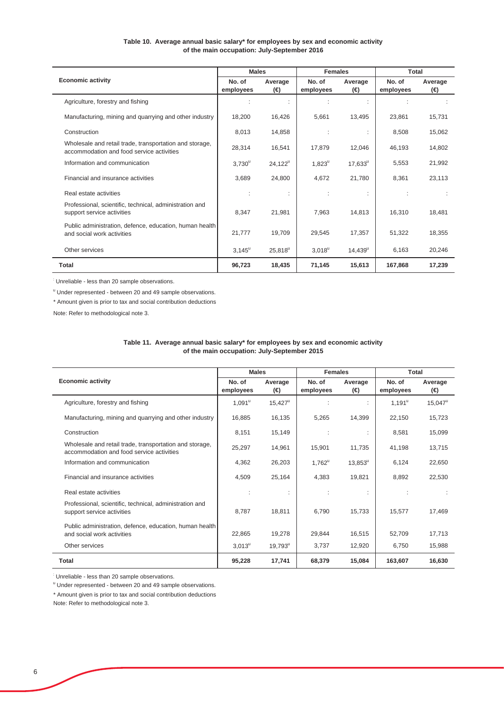### **Table 10. Average annual basic salary\* for employees by sex and economic activity of the main occupation: July-September 2016**

|                                                                                                      | <b>Males</b>        |                  | <b>Females</b>       |                  | Total               |                |
|------------------------------------------------------------------------------------------------------|---------------------|------------------|----------------------|------------------|---------------------|----------------|
| <b>Economic activity</b>                                                                             | No. of<br>employees | Average<br>(⊖)   | No. of<br>employees  | Average<br>(⊖)   | No. of<br>employees | Average<br>(⊖) |
| Agriculture, forestry and fishing                                                                    |                     |                  |                      |                  |                     |                |
| Manufacturing, mining and quarrying and other industry                                               | 18,200              | 16,426           | 5.661                | 13,495           | 23,861              | 15,731         |
| Construction                                                                                         | 8,013               | 14.858           |                      |                  | 8.508               | 15.062         |
| Wholesale and retail trade, transportation and storage,<br>accommodation and food service activities | 28,314              | 16,541           | 17,879               | 12,046           | 46,193              | 14.802         |
| Information and communication                                                                        | $3,730^{\circ}$     | $24,122^{\circ}$ | $1,823^{\mathrm{u}}$ | $17,633^{\circ}$ | 5,553               | 21,992         |
| Financial and insurance activities                                                                   | 3,689               | 24,800           | 4,672                | 21,780           | 8,361               | 23,113         |
| Real estate activities                                                                               | ÷                   |                  |                      |                  |                     |                |
| Professional, scientific, technical, administration and<br>support service activities                | 8,347               | 21,981           | 7.963                | 14.813           | 16.310              | 18.481         |
| Public administration, defence, education, human health<br>and social work activities                | 21,777              | 19,709           | 29,545               | 17,357           | 51,322              | 18,355         |
| Other services                                                                                       | $3,145^{\circ}$     | $25,818^{\circ}$ | $3,018^u$            | $14,439^{\circ}$ | 6,163               | 20,246         |
| Total                                                                                                | 96,723              | 18,435           | 71,145               | 15,613           | 167,868             | 17,239         |

: Unreliable - less than 20 sample observations.

<sup>u</sup> Under represented - between 20 and 49 sample observations.

\* Amount given is prior to tax and social contribution deductions

Note: Refer to methodological note 3.

#### **Table 11. Average annual basic salary\* for employees by sex and economic activity of the main occupation: July-September 2015**

|                                                                                                      | <b>Males</b>        |                       | <b>Females</b>      |                  | Total               |                  |
|------------------------------------------------------------------------------------------------------|---------------------|-----------------------|---------------------|------------------|---------------------|------------------|
| <b>Economic activity</b>                                                                             | No. of<br>employees | Average<br>(⊖)        | No. of<br>employees | Average<br>(⊖)   | No. of<br>employees | Average<br>(€)   |
| Agriculture, forestry and fishing                                                                    | $1,091^u$           | $15,427^u$            |                     |                  | $1,191^u$           | $15,047^{\circ}$ |
| Manufacturing, mining and quarrying and other industry                                               | 16,885              | 16,135                | 5,265               | 14,399           | 22,150              | 15,723           |
| Construction                                                                                         | 8,151               | 15,149                |                     |                  | 8,581               | 15,099           |
| Wholesale and retail trade, transportation and storage,<br>accommodation and food service activities | 25,297              | 14,961                | 15,901              | 11,735           | 41,198              | 13,715           |
| Information and communication                                                                        | 4,362               | 26,203                | $1,762^{\circ}$     | $13,853^{\circ}$ | 6,124               | 22,650           |
| Financial and insurance activities                                                                   | 4,509               | 25,164                | 4,383               | 19,821           | 8,892               | 22,530           |
| Real estate activities                                                                               | ÷                   | ÷                     |                     | ÷                |                     |                  |
| Professional, scientific, technical, administration and<br>support service activities                | 8,787               | 18,811                | 6,790               | 15,733           | 15,577              | 17,469           |
| Public administration, defence, education, human health<br>and social work activities                | 22,865              | 19,278                | 29.844              | 16,515           | 52.709              | 17.713           |
| Other services                                                                                       | $3,013^u$           | $19,793^{\mathrm{u}}$ | 3,737               | 12,920           | 6,750               | 15,988           |
| Total                                                                                                | 95,228              | 17,741                | 68,379              | 15,084           | 163,607             | 16.630           |

Unreliable - less than 20 sample observations.

<sup>u</sup> Under represented - between 20 and 49 sample observations.

\* Amount given is prior to tax and social contribution deductions

Note: Refer to methodological note 3.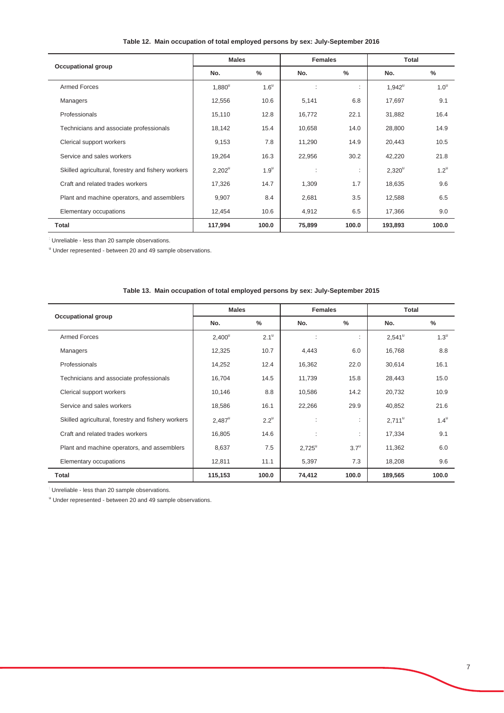|                                                    | <b>Males</b> |                    | <b>Females</b> |       | <b>Total</b> |                    |
|----------------------------------------------------|--------------|--------------------|----------------|-------|--------------|--------------------|
| <b>Occupational group</b>                          | No.          | $\%$               | No.            | $\%$  | No.          | $\%$               |
| <b>Armed Forces</b>                                | $1,880^u$    | $1.6^{\circ}$      |                | ٠     | $1,942^u$    | 1.0 <sup>u</sup>   |
| Managers                                           | 12,556       | 10.6               | 5,141          | 6.8   | 17,697       | 9.1                |
| Professionals                                      | 15,110       | 12.8               | 16,772         | 22.1  | 31,882       | 16.4               |
| Technicians and associate professionals            | 18,142       | 15.4               | 10,658         | 14.0  | 28,800       | 14.9               |
| Clerical support workers                           | 9,153        | 7.8                | 11,290         | 14.9  | 20,443       | 10.5               |
| Service and sales workers                          | 19,264       | 16.3               | 22,956         | 30.2  | 42,220       | 21.8               |
| Skilled agricultural, forestry and fishery workers | $2,202^u$    | $1.9^{\mathrm{u}}$ | ÷              | ÷     | $2,320^u$    | $1.2^{\mathrm{u}}$ |
| Craft and related trades workers                   | 17,326       | 14.7               | 1,309          | 1.7   | 18,635       | 9.6                |
| Plant and machine operators, and assemblers        | 9,907        | 8.4                | 2,681          | 3.5   | 12,588       | 6.5                |
| Elementary occupations                             | 12,454       | 10.6               | 4,912          | 6.5   | 17,366       | 9.0                |
| <b>Total</b>                                       | 117,994      | 100.0              | 75,899         | 100.0 | 193,893      | 100.0              |

### **Table 12. Main occupation of total employed persons by sex: July-September 2016**

: Unreliable - less than 20 sample observations.

<sup>u</sup> Under represented - between 20 and 49 sample observations.

|                                                    | <b>Males</b>         |                    | <b>Females</b>  |                    | Total           |                    |
|----------------------------------------------------|----------------------|--------------------|-----------------|--------------------|-----------------|--------------------|
| <b>Occupational group</b>                          | No.                  | $\frac{0}{0}$      | No.             | $\frac{0}{0}$      | No.             | $\frac{0}{0}$      |
| <b>Armed Forces</b>                                | $2,400^u$            | $2.1^{\mathrm{u}}$ |                 | ٠                  | 2,541           | $1.3^{\mathrm{u}}$ |
| Managers                                           | 12,325               | 10.7               | 4,443           | 6.0                | 16,768          | 8.8                |
| Professionals                                      | 14,252               | 12.4               | 16,362          | 22.0               | 30,614          | 16.1               |
| Technicians and associate professionals            | 16,704               | 14.5               | 11,739          | 15.8               | 28,443          | 15.0               |
| Clerical support workers                           | 10,146               | 8.8                | 10,586          | 14.2               | 20,732          | 10.9               |
| Service and sales workers                          | 18,586               | 16.1               | 22,266          | 29.9               | 40,852          | 21.6               |
| Skilled agricultural, forestry and fishery workers | $2,487^{\mathrm{u}}$ | $2.2^{\mathrm{u}}$ |                 |                    | $2,711^{\circ}$ | $1.4^{\mathrm{u}}$ |
| Craft and related trades workers                   | 16,805               | 14.6               |                 | ٠<br>ł.            | 17,334          | 9.1                |
| Plant and machine operators, and assemblers        | 8,637                | 7.5                | $2,725^{\circ}$ | $3.7^{\mathrm{u}}$ | 11,362          | 6.0                |
| Elementary occupations                             | 12,811               | 11.1               | 5,397           | 7.3                | 18,208          | 9.6                |
| <b>Total</b>                                       | 115,153              | 100.0              | 74,412          | 100.0              | 189,565         | 100.0              |

#### **Table 13. Main occupation of total employed persons by sex: July-September 2015**

Unreliable - less than 20 sample observations.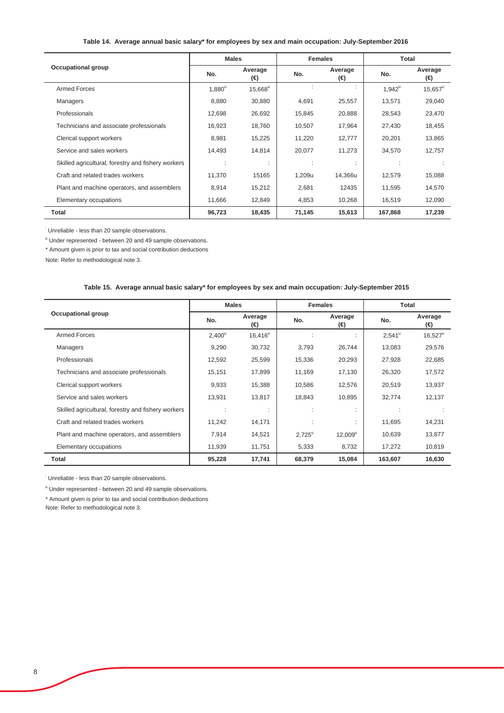### **Table 14. Average annual basic salary\* for employees by sex and main occupation: July-September 2016**

|                                                    | <b>Males</b> |                 | <b>Females</b> |                | Total     |                  |
|----------------------------------------------------|--------------|-----------------|----------------|----------------|-----------|------------------|
| <b>Occupational group</b>                          | No.          | Average<br>(⊖)  | No.            | Average<br>(⊖) | No.       | Average<br>(⊖)   |
| <b>Armed Forces</b>                                | $1,880^u$    | $15,668^u$      |                |                | $1,942^u$ | $15,657^{\circ}$ |
| <b>Managers</b>                                    | 8,880        | 30,880          | 4,691          | 25,557         | 13,571    | 29,040           |
| Professionals                                      | 12,698       | 26,692          | 15,845         | 20,888         | 28,543    | 23,470           |
| Technicians and associate professionals            | 16,923       | 18,760          | 10,507         | 17,964         | 27,430    | 18,455           |
| Clerical support workers                           | 8,981        | 15,225          | 11,220         | 12,777         | 20,201    | 13,865           |
| Service and sales workers                          | 14,493       | 14,814          | 20,077         | 11,273         | 34,570    | 12,757           |
| Skilled agricultural, forestry and fishery workers |              | ٠<br>$\epsilon$ | ×              | ×.             |           |                  |
| Craft and related trades workers                   | 11,370       | 15165           | 1,209u         | 14,366u        | 12,579    | 15,088           |
| Plant and machine operators, and assemblers        | 8,914        | 15,212          | 2,681          | 12435          | 11,595    | 14,570           |
| Elementary occupations                             | 11,666       | 12,849          | 4,853          | 10,268         | 16,519    | 12,090           |
| Total                                              | 96,723       | 18,435          | 71,145         | 15,613         | 167,868   | 17,239           |

Unreliable - less than 20 sample observations.

<sup>u</sup> Under represented - between 20 and 49 sample observations.

\* Amount given is prior to tax and social contribution deductions

Note: Refer to methodological note 3.

#### **Table 15. Average annual basic salary\* for employees by sex and main occupation: July-September 2015**

|                                                    | <b>Males</b>    |                                | <b>Females</b>  |                   | Total           |                  |
|----------------------------------------------------|-----------------|--------------------------------|-----------------|-------------------|-----------------|------------------|
| <b>Occupational group</b>                          | No.             | Average<br>(⊖)                 | No.             | Average<br>(⊖)    | No.             | Average<br>(⊖)   |
| <b>Armed Forces</b>                                | $2,400^{\circ}$ | $16,416^{\circ}$               |                 |                   | $2,541^{\circ}$ | $16,527^{\circ}$ |
| Managers                                           | 9,290           | 30,732                         | 3,793           | 26,744            | 13,083          | 29,576           |
| Professionals                                      | 12,592          | 25,599                         | 15,336          | 20,293            | 27,928          | 22,685           |
| Technicians and associate professionals            | 15,151          | 17,899                         | 11,169          | 17,130            | 26,320          | 17,572           |
| Clerical support workers                           | 9,933           | 15,388                         | 10,586          | 12,576            | 20,519          | 13,937           |
| Service and sales workers                          | 13,931          | 13,817                         | 18,843          | 10,895            | 32,774          | 12,137           |
| Skilled agricultural, forestry and fishery workers |                 | $\blacksquare$<br>$\mathbf{r}$ |                 | ٠<br>×.           |                 |                  |
| Craft and related trades workers                   | 11,242          | 14,171                         |                 | ٠<br>$\mathbf{r}$ | 11,695          | 14,231           |
| Plant and machine operators, and assemblers        | 7,914           | 14,521                         | $2,725^{\circ}$ | $12,009^u$        | 10,639          | 13,877           |
| Elementary occupations                             | 11,939          | 11,751                         | 5,333           | 8,732             | 17,272          | 10,819           |
| Total                                              | 95,228          | 17,741                         | 68,379          | 15,084            | 163,607         | 16,630           |

: Unreliable - less than 20 sample observations.

<sup>u</sup> Under represented - between 20 and 49 sample observations.

\* Amount given is prior to tax and social contribution deductions

Note: Refer to methodological note 3.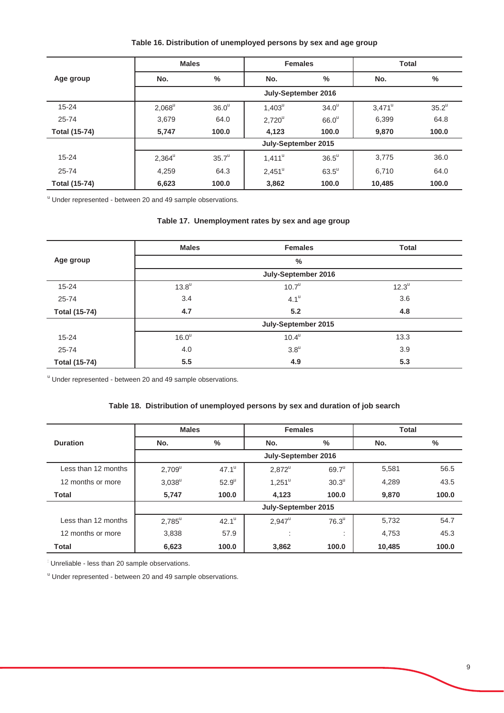# **Table 16. Distribution of unemployed persons by sex and age group**

|                      | <b>Males</b> |                   | <b>Females</b>      |                     | <b>Total</b>    |          |  |
|----------------------|--------------|-------------------|---------------------|---------------------|-----------------|----------|--|
| Age group            | No.          | $\frac{0}{0}$     | No.                 | $\%$                | No.             | $\%$     |  |
|                      |              |                   | July-September 2016 |                     |                 |          |  |
| $15 - 24$            | $2,068^u$    | 36.0 <sup>u</sup> | $1,403^u$           | 34.0 <sup>u</sup>   | $3,471^{\circ}$ | $35.2^u$ |  |
| $25 - 74$            | 3,679        | 64.0              | $2,720^u$           | 66.0 <sup>u</sup>   | 6,399           | 64.8     |  |
| <b>Total (15-74)</b> | 5,747        | 100.0             | 4,123               | 100.0               | 9,870           | 100.0    |  |
|                      |              |                   | July-September 2015 |                     |                 |          |  |
| $15 - 24$            | $2,364^u$    | $35.7^u$          | $1,411^u$           | $36.5^{\mathrm{u}}$ | 3.775           | 36.0     |  |
| $25 - 74$            | 4,259        | 64.3              | $2,451^{\circ}$     | $63.5^{\circ}$      | 6,710           | 64.0     |  |
| <b>Total (15-74)</b> | 6,623        | 100.0             | 3,862               | 100.0               | 10,485          | 100.0    |  |

<sup>u</sup> Under represented - between 20 and 49 sample observations.

# **Table 17. Unemployment rates by sex and age group**

|                      | <b>Males</b>      | <b>Females</b>      | <b>Total</b>        |
|----------------------|-------------------|---------------------|---------------------|
| Age group            |                   | $\frac{0}{0}$       |                     |
|                      |                   | July-September 2016 |                     |
| $15 - 24$            | $13.8^u$          | 10.7 <sup>u</sup>   | $12.3^{\mathrm{u}}$ |
| $25 - 74$            | 3.4               | $4.1^{\mathrm{u}}$  | 3.6                 |
| <b>Total (15-74)</b> | 4.7               | 5.2                 | 4.8                 |
|                      |                   | July-September 2015 |                     |
| $15 - 24$            | 16.0 <sup>u</sup> | $10.4^{\mathrm{u}}$ | 13.3                |
| $25 - 74$            | 4.0               | $3.8^{\mathrm{u}}$  | 3.9                 |
| <b>Total (15-74)</b> | 5.5               | 4.9                 | 5.3                 |

<sup>u</sup> Under represented - between 20 and 49 sample observations.

# **Table 18. Distribution of unemployed persons by sex and duration of job search**

|                     | <b>Males</b>    |                     | <b>Females</b>      |                   | <b>Total</b> |       |  |  |
|---------------------|-----------------|---------------------|---------------------|-------------------|--------------|-------|--|--|
| <b>Duration</b>     | No.             | $\%$                | No.                 | %                 | No.          | %     |  |  |
|                     |                 |                     | July-September 2016 |                   |              |       |  |  |
| Less than 12 months | $2,709^u$       | $47.1^{\mathrm{u}}$ | $2,872^u$           | $69.7^u$          | 5,581        | 56.5  |  |  |
| 12 months or more   | $3,038^u$       | $52.9^{\circ}$      | $1,251^{\circ}$     | 30.3 <sup>u</sup> | 4,289        | 43.5  |  |  |
| Total               | 5,747           | 100.0               | 4,123               | 100.0             | 9,870        | 100.0 |  |  |
|                     |                 |                     | July-September 2015 |                   |              |       |  |  |
| Less than 12 months | $2,785^{\circ}$ | $42.1^{\mathrm{u}}$ | $2,947^{\circ}$     | 76.3 <sup>u</sup> | 5,732        | 54.7  |  |  |
| 12 months or more   | 3,838           | 57.9                | ٠<br>$\cdot$        | $\cdot$           | 4,753        | 45.3  |  |  |
| <b>Total</b>        | 6,623           | 100.0               | 3,862               | 100.0             | 10,485       | 100.0 |  |  |

Unreliable - less than 20 sample observations.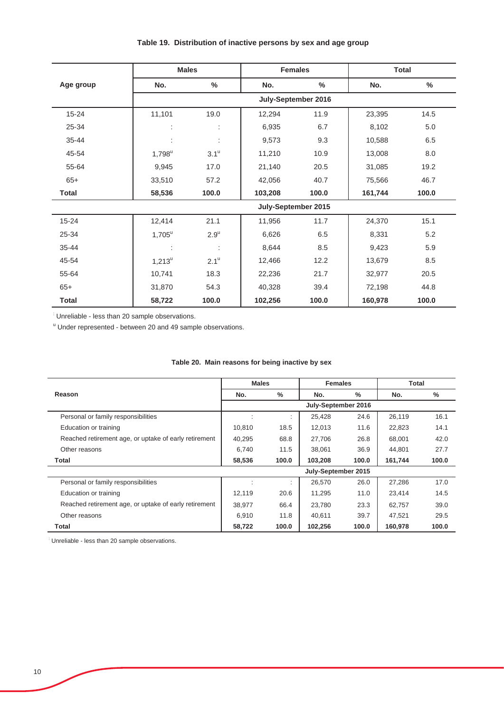|              |                | <b>Males</b>        |                     | <b>Females</b> |         | <b>Total</b> |  |
|--------------|----------------|---------------------|---------------------|----------------|---------|--------------|--|
| Age group    | No.            | $\%$                | No.                 | $\%$           | No.     | $\%$         |  |
|              |                | July-September 2016 |                     |                |         |              |  |
| $15 - 24$    | 11,101         | 19.0                | 12,294              | 11.9           | 23,395  | 14.5         |  |
| 25-34        | ÷              | t                   | 6,935               | 6.7            | 8,102   | 5.0          |  |
| $35 - 44$    | ÷              | t                   | 9,573               | 9.3            | 10,588  | 6.5          |  |
| 45-54        | $1,798^u$      | $3.1^{\mathrm{u}}$  | 11,210              | 10.9           | 13,008  | 8.0          |  |
| 55-64        | 9,945          | 17.0                | 21,140              | 20.5           | 31,085  | 19.2         |  |
| $65+$        | 33,510         | 57.2                | 42,056              | 40.7           | 75,566  | 46.7         |  |
| <b>Total</b> | 58,536         | 100.0               | 103,208             | 100.0          | 161,744 | 100.0        |  |
|              |                |                     | July-September 2015 |                |         |              |  |
| $15 - 24$    | 12,414         | 21.1                | 11,956              | 11.7           | 24,370  | 15.1         |  |
| 25-34        | $1,705^u$      | $2.9^{\mathrm{u}}$  | 6,626               | 6.5            | 8,331   | 5.2          |  |
| 35-44        | $\ddot{\cdot}$ | t                   | 8,644               | 8.5            | 9,423   | 5.9          |  |
| 45-54        | $1,213^u$      | $2.1^{\mathrm{u}}$  | 12,466              | 12.2           | 13,679  | 8.5          |  |
| 55-64        | 10,741         | 18.3                | 22,236              | 21.7           | 32,977  | 20.5         |  |
| $65+$        | 31,870         | 54.3                | 40,328              | 39.4           | 72,198  | 44.8         |  |
| <b>Total</b> | 58,722         | 100.0               | 102,256             | 100.0          | 160,978 | 100.0        |  |

# **Table 19. Distribution of inactive persons by sex and age group**

Unreliable - less than 20 sample observations.

<sup>u</sup> Under represented - between 20 and 49 sample observations.

|                                                       | <b>Males</b> |       | <b>Females</b>      |       | Total   |       |
|-------------------------------------------------------|--------------|-------|---------------------|-------|---------|-------|
| Reason                                                | No.          | $\%$  | No.                 | $\%$  | No.     | %     |
|                                                       |              |       | July-September 2016 |       |         |       |
| Personal or family responsibilities                   |              | ٠     | 25,428              | 24.6  | 26,119  | 16.1  |
| Education or training                                 | 10.810       | 18.5  | 12.013              | 11.6  | 22,823  | 14.1  |
| Reached retirement age, or uptake of early retirement | 40,295       | 68.8  | 27.706              | 26.8  | 68,001  | 42.0  |
| Other reasons                                         | 6,740        | 11.5  | 38,061              | 36.9  | 44,801  | 27.7  |
| Total                                                 | 58,536       | 100.0 | 103,208             | 100.0 | 161,744 | 100.0 |
|                                                       |              |       | July-September 2015 |       |         |       |
| Personal or family responsibilities                   |              | ٠     | 26,570              | 26.0  | 27,286  | 17.0  |
| Education or training                                 | 12,119       | 20.6  | 11,295              | 11.0  | 23,414  | 14.5  |
| Reached retirement age, or uptake of early retirement | 38,977       | 66.4  | 23.780              | 23.3  | 62,757  | 39.0  |
| Other reasons                                         | 6,910        | 11.8  | 40.611              | 39.7  | 47,521  | 29.5  |
| Total                                                 | 58.722       | 100.0 | 102.256             | 100.0 | 160.978 | 100.0 |

## **Table 20. Main reasons for being inactive by sex**

: Unreliable - less than 20 sample observations.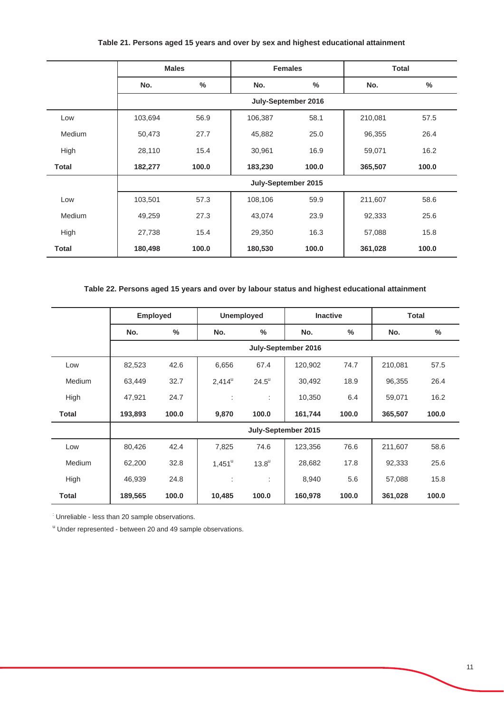|               | <b>Males</b> |       | <b>Females</b>      |       | <b>Total</b> |       |
|---------------|--------------|-------|---------------------|-------|--------------|-------|
|               | No.          | $\%$  | No.                 | $\%$  | No.          | $\%$  |
|               |              |       | July-September 2016 |       |              |       |
| Low           | 103,694      | 56.9  | 106,387             | 58.1  | 210,081      | 57.5  |
| <b>Medium</b> | 50,473       | 27.7  | 45,882              | 25.0  | 96,355       | 26.4  |
| High          | 28,110       | 15.4  | 30,961              | 16.9  | 59,071       | 16.2  |
| <b>Total</b>  | 182,277      | 100.0 | 183,230             | 100.0 | 365,507      | 100.0 |
|               |              |       | July-September 2015 |       |              |       |
| Low           | 103,501      | 57.3  | 108,106             | 59.9  | 211,607      | 58.6  |
| Medium        | 49,259       | 27.3  | 43,074              | 23.9  | 92,333       | 25.6  |
| High          | 27,738       | 15.4  | 29,350              | 16.3  | 57,088       | 15.8  |
| <b>Total</b>  | 180,498      | 100.0 | 180,530             | 100.0 | 361,028      | 100.0 |

# **Table 21. Persons aged 15 years and over by sex and highest educational attainment**

# **Table 22. Persons aged 15 years and over by labour status and highest educational attainment**

|              | <b>Employed</b>     |               |                      | <b>Unemployed</b>   |                     | <b>Inactive</b> |         | <b>Total</b>  |  |
|--------------|---------------------|---------------|----------------------|---------------------|---------------------|-----------------|---------|---------------|--|
|              | No.                 | $\frac{0}{0}$ | No.                  | %                   | No.                 | $\%$            | No.     | $\frac{0}{0}$ |  |
|              | July-September 2016 |               |                      |                     |                     |                 |         |               |  |
| Low          | 82,523              | 42.6          | 6,656                | 67.4                | 120,902             | 74.7            | 210,081 | 57.5          |  |
| Medium       | 63,449              | 32.7          | $2,414^{\circ}$      | $24.5^{\circ}$      | 30,492              | 18.9            | 96,355  | 26.4          |  |
| High         | 47,921              | 24.7          | $\ddot{\phantom{a}}$ | ÷                   | 10,350              | 6.4             | 59,071  | 16.2          |  |
| Total        | 193,893             | 100.0         | 9,870                | 100.0               | 161,744             | 100.0           | 365,507 | 100.0         |  |
|              |                     |               |                      |                     | July-September 2015 |                 |         |               |  |
| Low          | 80,426              | 42.4          | 7,825                | 74.6                | 123,356             | 76.6            | 211,607 | 58.6          |  |
| Medium       | 62,200              | 32.8          | $1,451^{\circ}$      | $13.8^{\mathrm{u}}$ | 28,682              | 17.8            | 92,333  | 25.6          |  |
| High         | 46,939              | 24.8          | ÷                    | ÷                   | 8,940               | 5.6             | 57,088  | 15.8          |  |
| <b>Total</b> | 189,565             | 100.0         | 10,485               | 100.0               | 160,978             | 100.0           | 361,028 | 100.0         |  |

: Unreliable - less than 20 sample observations.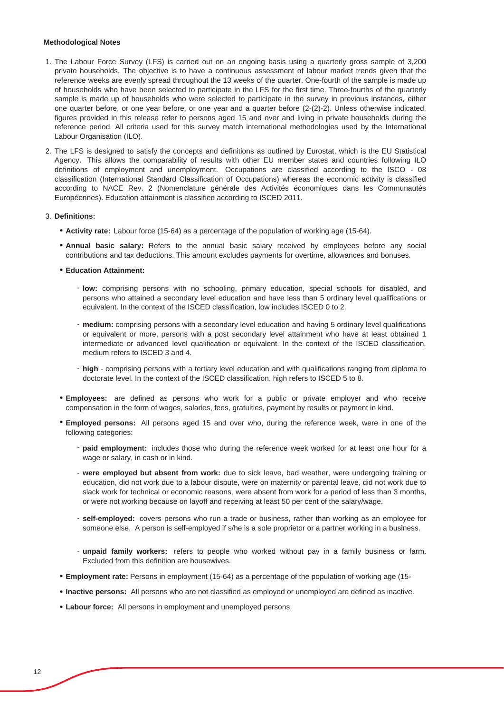#### **Methodological Notes**

- 1. The Labour Force Survey (LFS) is carried out on an ongoing basis using a quarterly gross sample of 3,200 private households. The objective is to have a continuous assessment of labour market trends given that the reference weeks are evenly spread throughout the 13 weeks of the quarter. One-fourth of the sample is made up of households who have been selected to participate in the LFS for the first time. Three-fourths of the quarterly sample is made up of households who were selected to participate in the survey in previous instances, either one quarter before, or one year before, or one year and a quarter before (2-(2)-2). Unless otherwise indicated, figures provided in this release refer to persons aged 15 and over and living in private households during the reference period. All criteria used for this survey match international methodologies used by the International Labour Organisation (ILO).
- 2. The LFS is designed to satisfy the concepts and definitions as outlined by Eurostat, which is the EU Statistical Agency. This allows the comparability of results with other EU member states and countries following ILO definitions of employment and unemployment. Occupations are classified according to the ISCO - 08 classification (International Standard Classification of Occupations) whereas the economic activity is classified according to NACE Rev. 2 (Nomenclature générale des Activités économiques dans les Communautés Européennes). Education attainment is classified according to ISCED 2011.

#### 3. **Definitions:**

- Ɣ **Activity rate:** Labour force (15-64) as a percentage of the population of working age (15-64).
- Ɣ **Annual basic salary:** Refers to the annual basic salary received by employees before any social contributions and tax deductions. This amount excludes payments for overtime, allowances and bonuses.
- Ɣ **Education Attainment:** 
	- **low:** comprising persons with no schooling, primary education, special schools for disabled, and persons who attained a secondary level education and have less than 5 ordinary level qualifications or equivalent. In the context of the ISCED classification, low includes ISCED 0 to 2.
	- **medium:** comprising persons with a secondary level education and having 5 ordinary level qualifications or equivalent or more, persons with a post secondary level attainment who have at least obtained 1 intermediate or advanced level qualification or equivalent. In the context of the ISCED classification, medium refers to ISCED 3 and 4.
	- **high** comprising persons with a tertiary level education and with qualifications ranging from diploma to doctorate level. In the context of the ISCED classification, high refers to ISCED 5 to 8.
- Ɣ **Employees:** are defined as persons who work for a public or private employer and who receive compensation in the form of wages, salaries, fees, gratuities, payment by results or payment in kind.
- Ɣ **Employed persons:** All persons aged 15 and over who, during the reference week, were in one of the following categories:
	- paid employment: includes those who during the reference week worked for at least one hour for a wage or salary, in cash or in kind.
	- **were employed but absent from work:** due to sick leave, bad weather, were undergoing training or education, did not work due to a labour dispute, were on maternity or parental leave, did not work due to slack work for technical or economic reasons, were absent from work for a period of less than 3 months, or were not working because on layoff and receiving at least 50 per cent of the salary/wage.
	- **self-employed:** covers persons who run a trade or business, rather than working as an employee for someone else. A person is self-employed if s/he is a sole proprietor or a partner working in a business.
	- **unpaid family workers:** refers to people who worked without pay in a family business or farm. Excluded from this definition are housewives.
- Ɣ **Employment rate:** Persons in employment (15-64) as a percentage of the population of working age (15-
- Ɣ **Inactive persons:** All persons who are not classified as employed or unemployed are defined as inactive.
- Ɣ **Labour force:** All persons in employment and unemployed persons.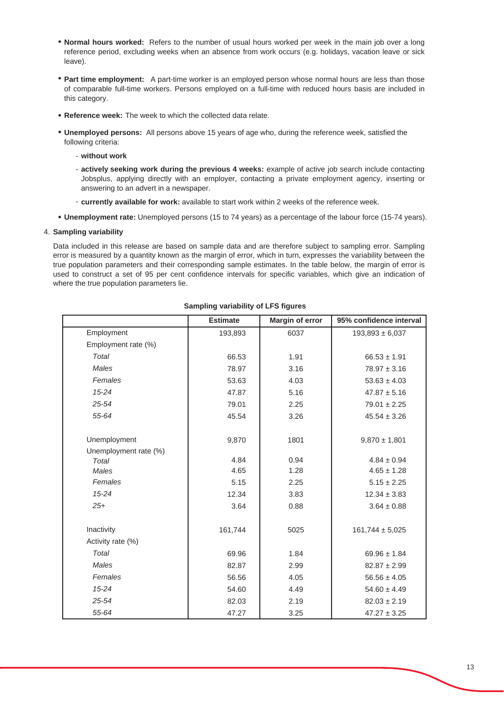- Ɣ **Normal hours worked:** Refers to the number of usual hours worked per week in the main job over a long reference period, excluding weeks when an absence from work occurs (e.g. holidays, vacation leave or sick leave).
- Part time employment: A part-time worker is an employed person whose normal hours are less than those of comparable full-time workers. Persons employed on a full-time with reduced hours basis are included in this category.
- Ɣ **Reference week:** The week to which the collected data relate.
- Ɣ **Unemployed persons:** All persons above 15 years of age who, during the reference week, satisfied the following criteria:
	- **without work**
	- **actively seeking work during the previous 4 weeks:** example of active job search include contacting Jobsplus, applying directly with an employer, contacting a private employment agency, inserting or answering to an advert in a newspaper.
	- **currently available for work:** available to start work within 2 weeks of the reference week.
- Ɣ **Unemployment rate:** Unemployed persons (15 to 74 years) as a percentage of the labour force (15-74 years).

#### 4. **Sampling variability**

Data included in this release are based on sample data and are therefore subject to sampling error. Sampling error is measured by a quantity known as the margin of error, which in turn, expresses the variability between the true population parameters and their corresponding sample estimates. In the table below, the margin of error is used to construct a set of 95 per cent confidence intervals for specific variables, which give an indication of where the true population parameters lie.

|                       | <b>Estimate</b> | <b>Margin of error</b> | 95% confidence interval |
|-----------------------|-----------------|------------------------|-------------------------|
| Employment            | 193,893         | 6037                   | $193,893 \pm 6,037$     |
| Employment rate (%)   |                 |                        |                         |
| Total                 | 66.53           | 1.91                   | $66.53 \pm 1.91$        |
| <b>Males</b>          | 78.97           | 3.16                   | $78.97 \pm 3.16$        |
| Females               | 53.63           | 4.03                   | $53.63 \pm 4.03$        |
| $15 - 24$             | 47.87           | 5.16                   | $47.87 \pm 5.16$        |
| 25-54                 | 79.01           | 2.25                   | $79.01 \pm 2.25$        |
| 55-64                 | 45.54           | 3.26                   | $45.54 \pm 3.26$        |
|                       |                 |                        |                         |
| Unemployment          | 9,870           | 1801                   | $9,870 \pm 1,801$       |
| Unemployment rate (%) |                 |                        |                         |
| Total                 | 4.84            | 0.94                   | $4.84 \pm 0.94$         |
| <b>Males</b>          | 4.65            | 1.28                   | $4.65 \pm 1.28$         |
| Females               | 5.15            | 2.25                   | $5.15 \pm 2.25$         |
| $15 - 24$             | 12.34           | 3.83                   | $12.34 \pm 3.83$        |
| $25+$                 | 3.64            | 0.88                   | $3.64 \pm 0.88$         |
|                       |                 |                        |                         |
| Inactivity            | 161,744         | 5025                   | $161,744 \pm 5,025$     |
| Activity rate (%)     |                 |                        |                         |
| Total                 | 69.96           | 1.84                   | $69.96 \pm 1.84$        |
| Males                 | 82.87           | 2.99                   | $82.87 \pm 2.99$        |
| Females               | 56.56           | 4.05                   | $56.56 \pm 4.05$        |
| $15 - 24$             | 54.60           | 4.49                   | $54.60 \pm 4.49$        |
| 25-54                 | 82.03           | 2.19                   | $82.03 \pm 2.19$        |
| 55-64                 | 47.27           | 3.25                   | $47.27 \pm 3.25$        |

#### **Sampling variability of LFS figures**